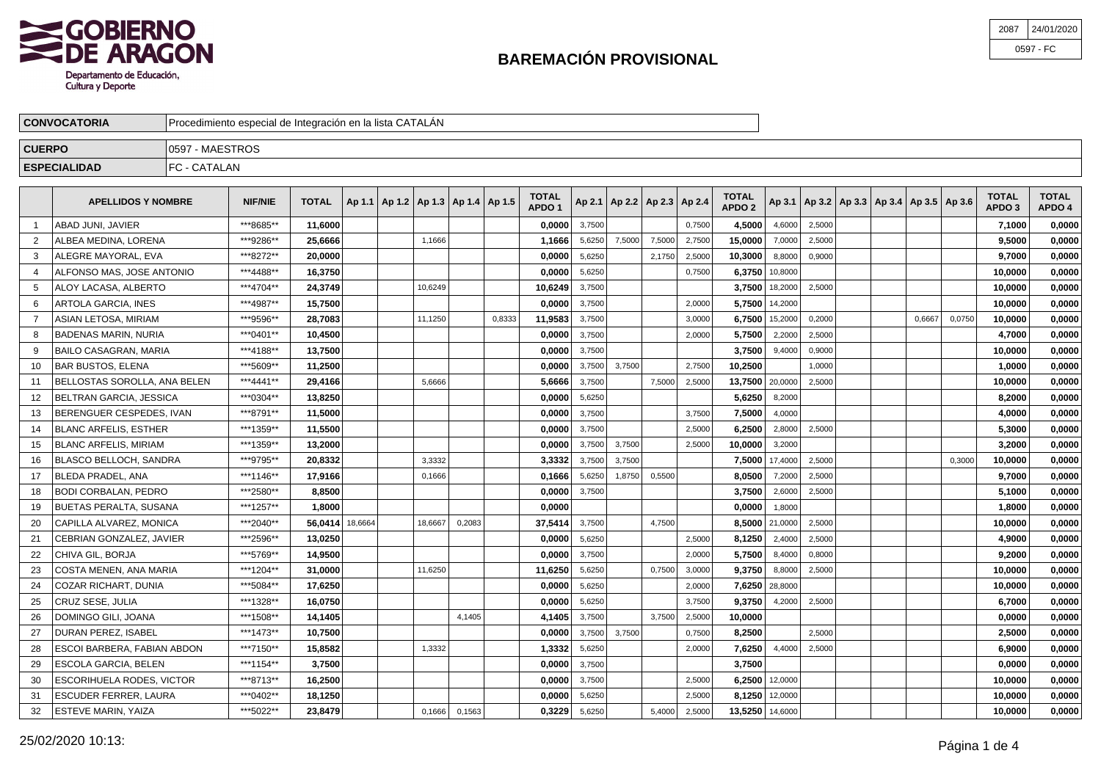

| 2087 | 24/01/2020 |
|------|------------|
|      | 0597 - FC  |

| <b>CONVOCATORIA</b> | Procedimiento especial de Integración en la lista CATALAN |  |
|---------------------|-----------------------------------------------------------|--|
| <b>CUERPO</b>       | 7 - MAESTROS<br>1059                                      |  |
| <b>ESPECIALIDAD</b> | <b>IFC - CATALAN</b>                                      |  |

|    | <b>APELLIDOS Y NOMBRE</b>        | <b>NIF/NIE</b> | <b>TOTAL</b> |         |         | Ap 1.1   Ap 1.2   Ap 1.3   Ap 1.4   Ap 1.5 |        | TOTAL<br>APDO <sub>1</sub> |        | Ap 2.1   Ap 2.2   Ap 2.3   Ap 2.4 |        |        | <b>TOTAL</b><br>APDO <sub>2</sub> |                |        | Ap 3.1   Ap 3.2   Ap 3.3   Ap 3.4   Ap 3.5   Ap 3.6 |        |        | <b>TOTAL</b><br>APDO <sub>3</sub> | <b>TOTAL</b><br>APDO 4 |
|----|----------------------------------|----------------|--------------|---------|---------|--------------------------------------------|--------|----------------------------|--------|-----------------------------------|--------|--------|-----------------------------------|----------------|--------|-----------------------------------------------------|--------|--------|-----------------------------------|------------------------|
|    | ABAD JUNI. JAVIER                | ***8685**      | 11,6000      |         |         |                                            |        | 0,0000                     | 3,7500 |                                   |        | 0,7500 | 4.5000                            | 4,6000         | 2,5000 |                                                     |        |        | 7,1000                            | 0,0000                 |
| 2  | ALBEA MEDINA, LORENA             | ***9286**      | 25,6666      |         | 1,1666  |                                            |        | 1,1666                     | 5,6250 | 7,5000                            | 7,5000 | 2,7500 | 15.0000                           | 7,0000         | 2,5000 |                                                     |        |        | 9,5000                            | 0,0000                 |
| 3  | ALEGRE MAYORAL. EVA              | ***8272**      | 20,0000      |         |         |                                            |        | 0,0000                     | 5,6250 |                                   | 2,1750 | 2,5000 | 10,3000                           | 8,8000         | 0,9000 |                                                     |        |        | 9,7000                            | 0,0000                 |
|    | ALFONSO MAS, JOSE ANTONIO        | ***4488**      | 16.3750      |         |         |                                            |        | 0.0000                     | 5.6250 |                                   |        | 0,7500 | 6.3750                            | 10,8000        |        |                                                     |        |        | 10.0000                           | 0.0000                 |
| 5  | ALOY LACASA, ALBERTO             | ***4704**      | 24,3749      |         | 10,6249 |                                            |        | 10,6249                    | 3,7500 |                                   |        |        |                                   | 3,7500 18,2000 | 2,5000 |                                                     |        |        | 10,0000                           | 0,0000                 |
| 6  | ARTOLA GARCIA, INES              | ***4987**      | 15,7500      |         |         |                                            |        | 0,0000                     | 3,7500 |                                   |        | 2,0000 |                                   | 5,7500 14,2000 |        |                                                     |        |        | 10,0000                           | 0,0000                 |
| 7  | ASIAN LETOSA. MIRIAM             | ***9596**      | 28,7083      |         | 11,1250 |                                            | 0,8333 | 11,9583                    | 3,7500 |                                   |        | 3,0000 | 6.7500                            | 15,2000        | 0,2000 |                                                     | 0,6667 | 0,0750 | 10.0000                           | 0,0000                 |
|    | <b>BADENAS MARIN, NURIA</b>      | ***0401**      | 10,4500      |         |         |                                            |        | 0,0000                     | 3,7500 |                                   |        | 2,0000 | 5.7500                            | 2,2000         | 2,5000 |                                                     |        |        | 4,7000                            | 0,0000                 |
| 9  | <b>BAILO CASAGRAN, MARIA</b>     | ***4188**      | 13,7500      |         |         |                                            |        | 0,0000                     | 3,7500 |                                   |        |        | 3.7500                            | 9,4000         | 0,9000 |                                                     |        |        | 10,0000                           | 0,0000                 |
| 10 | <b>BAR BUSTOS, ELENA</b>         | ***5609**      | 11,2500      |         |         |                                            |        | 0,0000                     | 3,7500 | 3,7500                            |        | 2,7500 | 10,2500                           |                | 1,0000 |                                                     |        |        | 1,0000                            | 0,0000                 |
| 11 | BELLOSTAS SOROLLA. ANA BELEN     | ***4441**      | 29.4166      |         | 5,6666  |                                            |        | 5.6666                     | 3,7500 |                                   | 7,5000 | 2,5000 | 13,7500 20,0000                   |                | 2,5000 |                                                     |        |        | 10.0000                           | 0,0000                 |
| 12 | BELTRAN GARCIA, JESSICA          | ***0304**      | 13,8250      |         |         |                                            |        | 0,0000                     | 5,6250 |                                   |        |        | 5,6250                            | 8,2000         |        |                                                     |        |        | 8,2000                            | 0,0000                 |
| 13 | BERENGUER CESPEDES, IVAN         | ***8791**      | 11,5000      |         |         |                                            |        | 0,0000                     | 3,7500 |                                   |        | 3,7500 | 7,5000                            | 4,0000         |        |                                                     |        |        | 4,0000                            | 0,0000                 |
| 14 | <b>BLANC ARFELIS, ESTHER</b>     | ***1359**      | 11,5500      |         |         |                                            |        | 0,0000                     | 3.7500 |                                   |        | 2.5000 | 6.2500                            | 2,8000         | 2.5000 |                                                     |        |        | 5,3000                            | 0,0000                 |
| 15 | <b>BLANC ARFELIS, MIRIAM</b>     | ***1359**      | 13,2000      |         |         |                                            |        | 0,0000                     | 3.7500 | 3,7500                            |        | 2,5000 | 10,0000                           | 3,2000         |        |                                                     |        |        | 3,2000                            | 0,0000                 |
| 16 | BLASCO BELLOCH, SANDRA           | ***9795**      | 20,8332      |         | 3,3332  |                                            |        | 3,3332                     | 3,7500 | 3,7500                            |        |        |                                   | 7,5000 17,4000 | 2,5000 |                                                     |        | 0,3000 | 10,0000                           | 0,0000                 |
| 17 | <b>BLEDA PRADEL, ANA</b>         | ***1146**      | 17.9166      |         | 0,1666  |                                            |        | 0.1666                     | 5,6250 | 1,8750                            | 0,5500 |        | 8.0500                            | 7,2000         | 2,5000 |                                                     |        |        | 9.7000                            | 0,0000                 |
| 18 | <b>BODI CORBALAN, PEDRO</b>      | ***2580**      | 8.8500       |         |         |                                            |        | 0.0000                     | 3,7500 |                                   |        |        | 3.7500                            | 2,6000         | 2,5000 |                                                     |        |        | 5,1000                            | 0,0000                 |
| 19 | <b>BUETAS PERALTA, SUSANA</b>    | ***1257**      | 1,8000       |         |         |                                            |        | 0,0000                     |        |                                   |        |        | 0,0000                            | 1,8000         |        |                                                     |        |        | 1,8000                            | 0,0000                 |
| 20 | CAPILLA ALVAREZ, MONICA          | ***2040**      | 56,0414      | 18,6664 | 18,6667 | 0,2083                                     |        | 37,5414                    | 3,7500 |                                   | 4,7500 |        |                                   | 8.5000 21,0000 | 2,5000 |                                                     |        |        | 10,0000                           | 0,0000                 |
| 21 | CEBRIAN GONZALEZ. JAVIER         | ***2596**      | 13.0250      |         |         |                                            |        | 0.0000                     | 5,6250 |                                   |        | 2,5000 | 8.1250                            | 2,4000         | 2.5000 |                                                     |        |        | 4.9000                            | 0.0000                 |
| 22 | CHIVA GIL. BORJA                 | ***5769**      | 14,9500      |         |         |                                            |        | 0,0000                     | 3,7500 |                                   |        | 2,0000 | 5.7500                            | 8,4000         | 0,8000 |                                                     |        |        | 9,2000                            | 0,0000                 |
| 23 | COSTA MENEN, ANA MARIA           | ***1204**      | 31,0000      |         | 11,6250 |                                            |        | 11,6250                    | 5,6250 |                                   | 0,7500 | 3,0000 | 9.3750                            | 8,8000         | 2,5000 |                                                     |        |        | 10,0000                           | 0,0000                 |
| 24 | COZAR RICHART, DUNIA             | ***5084**      | 17.6250      |         |         |                                            |        | 0.0000                     | 5,6250 |                                   |        | 2,0000 | 7.6250                            | 28,8000        |        |                                                     |        |        | 10,0000                           | 0.0000                 |
| 25 | <b>CRUZ SESE, JULIA</b>          | ***1328**      | 16,0750      |         |         |                                            |        | 0,0000                     | 5,6250 |                                   |        | 3,7500 | 9.3750                            | 4,2000         | 2,5000 |                                                     |        |        | 6,7000                            | 0,0000                 |
| 26 | DOMINGO GILI, JOANA              | ***1508**      | 14,1405      |         |         | 4,1405                                     |        | 4,1405                     | 3,7500 |                                   | 3.7500 | 2,5000 | 10,0000                           |                |        |                                                     |        |        | 0,0000                            | 0,0000                 |
| 27 | DURAN PEREZ, ISABEL              | ***1473**      | 10,7500      |         |         |                                            |        | 0,0000                     | 3,7500 | 3,7500                            |        | 0,7500 | 8,2500                            |                | 2,5000 |                                                     |        |        | 2,5000                            | 0,0000                 |
| 28 | ESCOI BARBERA. FABIAN ABDON      | ***7150**      | 15,8582      |         | 1.3332  |                                            |        | 1,3332                     | 5,6250 |                                   |        | 2,0000 | 7.6250                            | 4,4000         | 2,5000 |                                                     |        |        | 6.9000                            | 0.0000                 |
| 29 | ESCOLA GARCIA, BELEN             | ***1154**      | 3,7500       |         |         |                                            |        | 0,0000                     | 3,7500 |                                   |        |        | 3,7500                            |                |        |                                                     |        |        | 0,0000                            | 0,0000                 |
| 30 | <b>ESCORIHUELA RODES, VICTOR</b> | ***8713**      | 16,2500      |         |         |                                            |        | 0,0000                     | 3,7500 |                                   |        | 2,5000 |                                   | 6,2500 12,0000 |        |                                                     |        |        | 10,0000                           | 0,0000                 |
| 31 | <b>ESCUDER FERRER, LAURA</b>     | ***0402**      | 18,1250      |         |         |                                            |        | 0,0000                     | 5,6250 |                                   |        | 2.5000 |                                   | 8.1250 12,0000 |        |                                                     |        |        | 10,0000                           | 0.0000                 |
| 32 | ESTEVE MARIN, YAIZA              | ***5022**      | 23,8479      |         | 0.1666  | 0,1563                                     |        | 0.3229                     | 5.6250 |                                   | 5.4000 | 2,5000 | 13,5250 14,6000                   |                |        |                                                     |        |        | 10.0000                           | 0.0000                 |
|    |                                  |                |              |         |         |                                            |        |                            |        |                                   |        |        |                                   |                |        |                                                     |        |        |                                   |                        |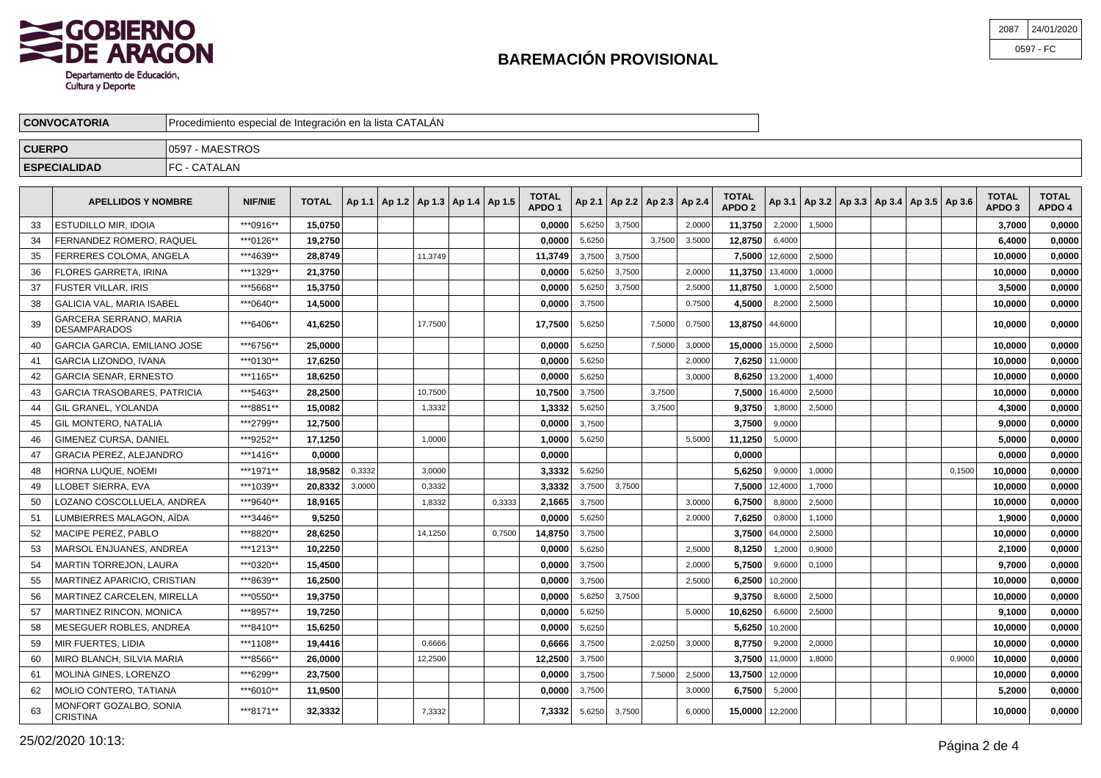

| 2087 | 24/01/2020 |
|------|------------|
|      | 0597 - FC  |

| <b>CONVOCATORIA</b> | Procedimiento especial de Integración en la lista CATALAN |  |
|---------------------|-----------------------------------------------------------|--|
| <b>CUERPO</b>       | 7 - MAESTROS<br>10597                                     |  |
| <b>ESPECIALIDAD</b> | C- CATALAN<br>∣⊏∩                                         |  |

|    | <b>APELLIDOS Y NOMBRE</b>                     | <b>NIF/NIE</b> | <b>TOTAL</b> |        |         | Ap 1.1   Ap 1.2   Ap 1.3   Ap 1.4   Ap 1.5 |        | <b>TOTAL</b><br>APDO <sub>1</sub> |        | Ap 2.1   Ap 2.2   Ap 2.3   Ap 2.4 |        |        | <b>TOTAL</b><br>APDO <sub>2</sub> |                | Ap 3.1   Ap 3.2   Ap 3.3   Ap 3.4   Ap 3.5   Ap 3.6 |  |        | <b>TOTAL</b><br>APDO <sub>3</sub> | <b>TOTAL</b><br>APDO 4 |
|----|-----------------------------------------------|----------------|--------------|--------|---------|--------------------------------------------|--------|-----------------------------------|--------|-----------------------------------|--------|--------|-----------------------------------|----------------|-----------------------------------------------------|--|--------|-----------------------------------|------------------------|
| 33 | <b>ESTUDILLO MIR. IDOIA</b>                   | ***0916**      | 15.0750      |        |         |                                            |        | 0,0000                            | 5,6250 | 3,7500                            |        | 2,0000 | 11,3750                           | 2,2000         | 1,5000                                              |  |        | 3.7000                            | 0,0000                 |
| 34 | FERNANDEZ ROMERO. RAQUEL                      | ***0126**      | 19.2750      |        |         |                                            |        | 0.0000                            | 5.6250 |                                   | 3.7500 | 3,5000 | 12.8750                           | 6,4000         |                                                     |  |        | 6.4000                            | 0.0000                 |
| 35 | FERRERES COLOMA. ANGELA                       | ***4639**      | 28.8749      |        | 11.3749 |                                            |        | 11,3749                           | 3,7500 | 3.7500                            |        |        | 7.5000                            | 12,6000        | 2.5000                                              |  |        | 10.0000                           | 0,0000                 |
| 36 | FLORES GARRETA. IRINA                         | ***1329**      | 21.3750      |        |         |                                            |        | 0.0000                            | 5,6250 | 3,7500                            |        | 2,0000 | 11.3750                           | 13,4000        | 1,0000                                              |  |        | 10.0000                           | 0,0000                 |
| 37 | FUSTER VILLAR, IRIS                           | ***5668**      | 15,3750      |        |         |                                            |        | 0,0000                            | 5,6250 | 3,7500                            |        | 2,5000 | 11,8750                           | 1,0000         | 2,5000                                              |  |        | 3,5000                            | 0,0000                 |
| 38 | <b>GALICIA VAL. MARIA ISABEL</b>              | ***0640**      | 14,5000      |        |         |                                            |        | 0,0000                            | 3,7500 |                                   |        | 0,7500 | 4,5000                            | 8,2000         | 2,5000                                              |  |        | 10,0000                           | 0,0000                 |
| 39 | GARCERA SERRANO, MARIA<br><b>DESAMPARADOS</b> | ***6406**      | 41,6250      |        | 17,7500 |                                            |        | 17,7500                           | 5,6250 |                                   | 7,5000 | 0,7500 | 13,8750 44,6000                   |                |                                                     |  |        | 10,0000                           | 0,0000                 |
| 40 | GARCIA GARCIA. EMILIANO JOSE                  | ***6756**      | 25,0000      |        |         |                                            |        | 0,0000                            | 5.6250 |                                   | 7,5000 | 3,0000 | 15,0000 15,0000                   |                | 2,5000                                              |  |        | 10,0000                           | 0,0000                 |
| 41 | GARCIA LIZONDO, IVANA                         | ***0130**      | 17,6250      |        |         |                                            |        | 0,0000                            | 5,6250 |                                   |        | 2,0000 |                                   | 7.6250 11,0000 |                                                     |  |        | 10,0000                           | 0,0000                 |
| 42 | <b>GARCIA SENAR, ERNESTO</b>                  | ***1165**      | 18,6250      |        |         |                                            |        | 0,0000                            | 5,6250 |                                   |        | 3,0000 |                                   | 8,6250 13,2000 | 1,4000                                              |  |        | 10,0000                           | 0,0000                 |
| 43 | <b>GARCIA TRASOBARES, PATRICIA</b>            | ***5463**      | 28.2500      |        | 10.7500 |                                            |        | 10,7500                           | 3,7500 |                                   | 3.7500 |        | 7.5000                            | 16,4000        | 2,5000                                              |  |        | 10,0000                           | 0,0000                 |
| 44 | GIL GRANEL, YOLANDA                           | ***8851**      | 15,0082      |        | 1,3332  |                                            |        | 1,3332                            | 5.6250 |                                   | 3.7500 |        | 9.3750                            | 1,8000         | 2.5000                                              |  |        | 4,3000                            | 0,0000                 |
| 45 | <b>GIL MONTERO, NATALIA</b>                   | ***2799**      | 12.7500      |        |         |                                            |        | 0.0000                            | 3,7500 |                                   |        |        | 3.7500                            | 9,0000         |                                                     |  |        | 9.0000                            | 0.0000                 |
| 46 | GIMENEZ CURSA, DANIEL                         | ***9252**      | 17,1250      |        | 1,0000  |                                            |        | 1.0000                            | 5,6250 |                                   |        | 5,5000 | 11,1250                           | 5,0000         |                                                     |  |        | 5,0000                            | 0,0000                 |
| 47 | <b>GRACIA PEREZ, ALEJANDRO</b>                | ***1416**      | 0,0000       |        |         |                                            |        | 0,0000                            |        |                                   |        |        | 0,0000                            |                |                                                     |  |        | 0,0000                            | 0,0000                 |
| 48 | HORNA LUQUE, NOEMI                            | ***1971**      | 18,9582      | 0,3332 | 3,0000  |                                            |        | 3,3332                            | 5,6250 |                                   |        |        | 5.6250                            | 9,0000         | 1,0000                                              |  | 0,1500 | 10,0000                           | 0,0000                 |
| 49 | LOBET SIERRA. EVA                             | ***1039**      | 20,8332      | 3,0000 | 0,3332  |                                            |        | 3,3332                            | 3,7500 | 3,7500                            |        |        | 7,5000                            | 12,4000        | 1,7000                                              |  |        | 10,0000                           | 0,0000                 |
| 50 | LOZANO COSCOLLUELA, ANDREA                    | ***9640**      | 18,9165      |        | 1,8332  |                                            | 0,3333 | 2,1665                            | 3,7500 |                                   |        | 3,0000 | 6.7500                            | 8,8000         | 2,5000                                              |  |        | 10,0000                           | 0,0000                 |
| 51 | LUMBIERRES MALAGON. AÏDA                      | ***3446**      | 9,5250       |        |         |                                            |        | 0,0000                            | 5,6250 |                                   |        | 2,0000 | 7.6250                            | 0,8000         | 1,1000                                              |  |        | 1,9000                            | 0,0000                 |
| 52 | MACIPE PEREZ, PABLO                           | ***8820**      | 28,6250      |        | 14,1250 |                                            | 0,7500 | 14,8750                           | 3,7500 |                                   |        |        | 3.7500                            | 64,0000        | 2,5000                                              |  |        | 10,0000                           | 0,0000                 |
| 53 | MARSOL ENJUANES, ANDREA                       | ***1213**      | 10.2250      |        |         |                                            |        | 0.0000                            | 5,6250 |                                   |        | 2,5000 | 8,1250                            | 1,2000         | 0,9000                                              |  |        | 2,1000                            | 0,0000                 |
| 54 | MARTIN TORREJON, LAURA                        | ***0320**      | 15.4500      |        |         |                                            |        | 0,0000                            | 3,7500 |                                   |        | 2,0000 | 5.7500                            | 9,6000         | 0,1000                                              |  |        | 9.7000                            | 0,0000                 |
| 55 | MARTINEZ APARICIO. CRISTIAN                   | ***8639**      | 16,2500      |        |         |                                            |        | 0.0000                            | 3.7500 |                                   |        | 2.5000 | 6.2500                            | 10,2000        |                                                     |  |        | 10,0000                           | 0,0000                 |
| 56 | MARTINEZ CARCELEN. MIRELLA                    | ***0550**      | 19.3750      |        |         |                                            |        | 0.0000                            | 5.6250 | 3,7500                            |        |        | 9.3750                            | 8,6000         | 2,5000                                              |  |        | 10.0000                           | 0.0000                 |
| 57 | <b>MARTINEZ RINCON, MONICA</b>                | ***8957**      | 19,7250      |        |         |                                            |        | 0.0000                            | 5,6250 |                                   |        | 5,0000 | 10.6250                           | 6,6000         | 2,5000                                              |  |        | 9,1000                            | 0,0000                 |
| 58 | MESEGUER ROBLES, ANDREA                       | ***8410**      | 15,6250      |        |         |                                            |        | 0,0000                            | 5,6250 |                                   |        |        | 5,6250                            | 10,2000        |                                                     |  |        | 10,0000                           | 0,0000                 |
| 59 | MIR FUERTES. LIDIA                            | ***1108**      | 19,4416      |        | 0,6666  |                                            |        | 0,6666                            | 3,7500 |                                   | 2,0250 | 3,0000 | 8,7750                            | 9,2000         | 2,0000                                              |  |        | 10,0000                           | 0,0000                 |
| 60 | MIRO BLANCH, SILVIA MARIA                     | ***8566**      | 26,0000      |        | 12,2500 |                                            |        | 12,2500                           | 3,7500 |                                   |        |        |                                   | 3,7500 11,0000 | 1,8000                                              |  | 0,9000 | 10,0000                           | 0,0000                 |
| 61 | MOLINA GINES, LORENZO                         | ***6299**      | 23,7500      |        |         |                                            |        | 0,0000                            | 3,7500 |                                   | 7,5000 | 2,5000 | 13,7500                           | 12,0000        |                                                     |  |        | 10,0000                           | 0,0000                 |
| 62 | MOLIO CONTERO, TATIANA                        | ***6010**      | 11,9500      |        |         |                                            |        | 0,0000                            | 3,7500 |                                   |        | 3,0000 | 6.7500                            | 5,2000         |                                                     |  |        | 5,2000                            | 0,0000                 |
| 63 | MONFORT GOZALBO, SONIA<br><b>CRISTINA</b>     | ***8171**      | 32.3332      |        | 7,3332  |                                            |        | 7.3332                            | 5,6250 | 3,7500                            |        | 6,0000 | 15.0000 12,2000                   |                |                                                     |  |        | 10.0000                           | 0,0000                 |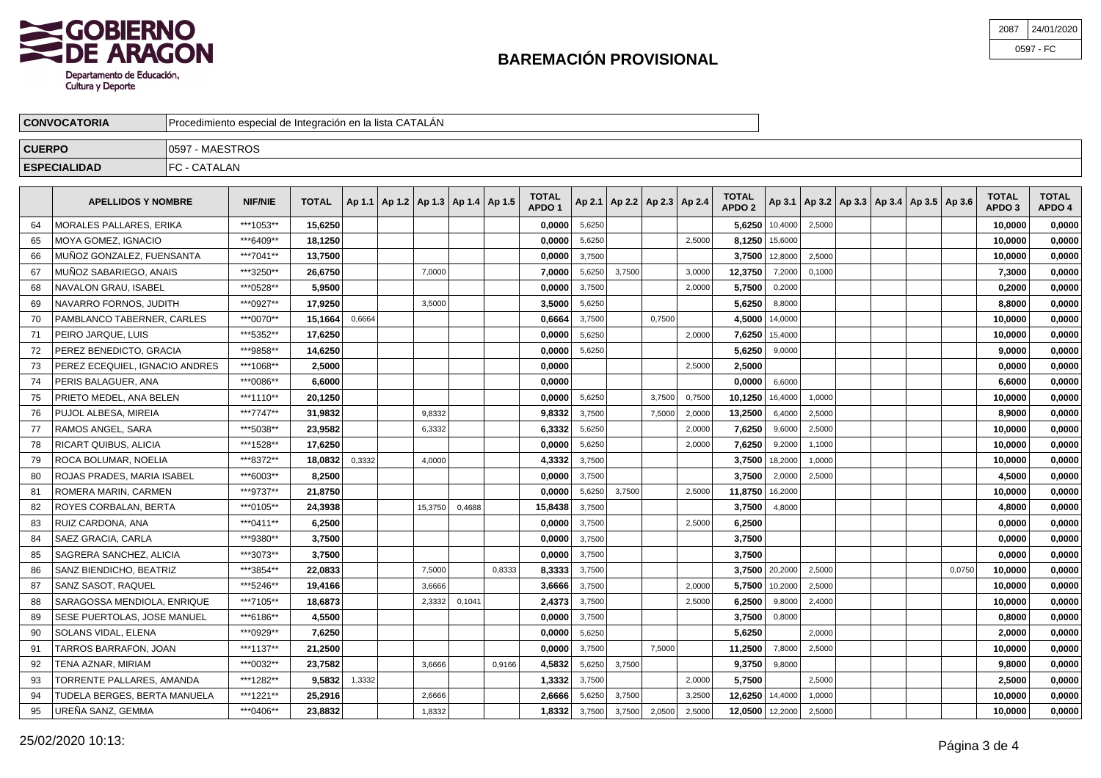

| 2087 | 24/01/2020 |
|------|------------|
|      | 0597 - FC  |

| <b>CONVOCATORIA</b> | Procedimiento especial de Integración en la lista CATALÁN |  |
|---------------------|-----------------------------------------------------------|--|
| <b>CUERPO</b>       | 7 - MAESTROS<br>1059                                      |  |
| <b>ESPECIALIDAD</b> | C- CATALAN<br>∣⊏∩                                         |  |

|    | <b>APELLIDOS Y NOMBRE</b>      | <b>NIF/NIE</b> | <b>TOTAL</b> |        | Ap 1.1   Ap 1.2   Ap 1.3   Ap 1.4   Ap 1.5 |         |        |        | <b>TOTAL</b><br>APDO <sub>1</sub> |        | Ap 2.1   Ap 2.2   Ap 2.3   Ap 2.4 |        |        | <b>TOTAL</b><br><b>APDO 2</b> |                  |        | Ap 3.1   Ap 3.2   Ap 3.3   Ap 3.4   Ap 3.5   Ap 3.6 |        | <b>TOTAL</b><br>APDO <sub>3</sub> | <b>TOTAL</b><br>APDO 4 |
|----|--------------------------------|----------------|--------------|--------|--------------------------------------------|---------|--------|--------|-----------------------------------|--------|-----------------------------------|--------|--------|-------------------------------|------------------|--------|-----------------------------------------------------|--------|-----------------------------------|------------------------|
| 64 | MORALES PALLARES. ERIKA        | ***1053**      | 15,6250      |        |                                            |         |        |        | 0,0000                            | 5,6250 |                                   |        |        |                               | $5,6250$ 10,4000 | 2,5000 |                                                     |        | 10,0000                           | 0,0000                 |
| 65 | MOYA GOMEZ. IGNACIO            | ***6409**      | 18.1250      |        |                                            |         |        |        | 0.0000                            | 5,6250 |                                   |        | 2.5000 | 8.1250                        | 15,6000          |        |                                                     |        | 10,0000                           | 0,0000                 |
| 66 | MUÑOZ GONZALEZ, FUENSANTA      | ***7041**      | 13,7500      |        |                                            |         |        |        | 0,0000                            | 3,7500 |                                   |        |        | 3,7500                        | 12,8000          | 2,5000 |                                                     |        | 10,0000                           | 0,0000                 |
| 67 | MUÑOZ SABARIEGO. ANAIS         | ***3250**      | 26.6750      |        |                                            | 7.0000  |        |        | 7.0000                            | 5.6250 | 3,7500                            |        | 3.0000 | 12.3750                       | 7,2000           | 0.1000 |                                                     |        | 7,3000                            | 0.0000                 |
| 68 | NAVALON GRAU, ISABEL           | ***0528**      | 5,9500       |        |                                            |         |        |        | 0,0000                            | 3,7500 |                                   |        | 2,0000 | 5,7500                        | 0,2000           |        |                                                     |        | 0,2000                            | 0,0000                 |
| 69 | NAVARRO FORNOS, JUDITH         | ***0927**      | 17,9250      |        |                                            | 3,5000  |        |        | 3,5000                            | 5,6250 |                                   |        |        | 5,6250                        | 8,8000           |        |                                                     |        | 8,8000                            | 0,0000                 |
| 70 | PAMBLANCO TABERNER, CARLES     | ***0070**      | 15,1664      | 0,6664 |                                            |         |        |        | 0,6664                            | 3,7500 |                                   | 0.7500 |        | 4.5000                        | 14,0000          |        |                                                     |        | 10,0000                           | 0,0000                 |
| 71 | PEIRO JARQUE, LUIS             | ***5352**      | 17,6250      |        |                                            |         |        |        | 0,0000                            | 5,6250 |                                   |        | 2,0000 | 7,6250                        | 15,4000          |        |                                                     |        | 10,0000                           | 0,0000                 |
| 72 | PEREZ BENEDICTO, GRACIA        | ***9858**      | 14,6250      |        |                                            |         |        |        | 0,0000                            | 5,6250 |                                   |        |        | 5,6250                        | 9,0000           |        |                                                     |        | 9,0000                            | 0,0000                 |
| 73 | PEREZ ECEQUIEL. IGNACIO ANDRES | ***1068**      | 2,5000       |        |                                            |         |        |        | 0,0000                            |        |                                   |        | 2,5000 | 2.5000                        |                  |        |                                                     |        | 0,0000                            | 0,0000                 |
| 74 | PERIS BALAGUER, ANA            | ***0086**      | 6,6000       |        |                                            |         |        |        | 0,0000                            |        |                                   |        |        | 0.0000                        | 6,6000           |        |                                                     |        | 6,6000                            | 0,0000                 |
| 75 | PRIETO MEDEL, ANA BELEN        | ***1110**      | 20,1250      |        |                                            |         |        |        | 0,0000                            | 5,6250 |                                   | 3,7500 | 0,7500 | 10,1250                       | 16,4000          | 1,0000 |                                                     |        | 10,0000                           | 0,0000                 |
| 76 | PUJOL ALBESA, MIREIA           | ***7747**      | 31,9832      |        |                                            | 9.8332  |        |        | 9,8332                            | 3,7500 |                                   | 7,5000 | 2,0000 | 13.2500                       | 6,4000           | 2,5000 |                                                     |        | 8.9000                            | 0,0000                 |
| 77 | RAMOS ANGEL, SARA              | ***5038**      | 23,9582      |        |                                            | 6,3332  |        |        | 6,3332                            | 5,6250 |                                   |        | 2,0000 | 7.6250                        | 9,6000           | 2,5000 |                                                     |        | 10,0000                           | 0,0000                 |
| 78 | RICART QUIBUS, ALICIA          | ***1528**      | 17,6250      |        |                                            |         |        |        | 0,0000                            | 5,6250 |                                   |        | 2,0000 | 7,6250                        | 9,2000           | 1,1000 |                                                     |        | 10,0000                           | 0,0000                 |
| 79 | ROCA BOLUMAR, NOELIA           | ***8372**      | 18.0832      | 0,3332 |                                            | 4,0000  |        |        | 4.3332                            | 3,7500 |                                   |        |        | 3.7500                        | 18,2000          | 1,0000 |                                                     |        | 10.0000                           | 0,0000                 |
| 80 | ROJAS PRADES, MARIA ISABEL     | ***6003**      | 8,2500       |        |                                            |         |        |        | 0,0000                            | 3,7500 |                                   |        |        | 3,7500                        | 2,0000           | 2,5000 |                                                     |        | 4,5000                            | 0,0000                 |
| 81 | ROMERA MARIN, CARMEN           | ***9737**      | 21,8750      |        |                                            |         |        |        | 0,0000                            | 5,6250 | 3,7500                            |        | 2,5000 | 11,8750                       | 16,2000          |        |                                                     |        | 10,0000                           | 0,0000                 |
| 82 | ROYES CORBALAN, BERTA          | ***0105**      | 24,3938      |        |                                            | 15,3750 | 0,4688 |        | 15.8438                           | 3,7500 |                                   |        |        | 3.7500                        | 4,8000           |        |                                                     |        | 4,8000                            | 0,0000                 |
| 83 | l RUIZ CARDONA. ANA            | ***0411**      | 6,2500       |        |                                            |         |        |        | 0,0000                            | 3,7500 |                                   |        | 2,5000 | 6,2500                        |                  |        |                                                     |        | 0,0000                            | 0,0000                 |
| 84 | <b>SAEZ GRACIA, CARLA</b>      | ***9380**      | 3,7500       |        |                                            |         |        |        | 0,0000                            | 3,7500 |                                   |        |        | 3,7500                        |                  |        |                                                     |        | 0,0000                            | 0,0000                 |
| 85 | SAGRERA SANCHEZ, ALICIA        | ***3073**      | 3.7500       |        |                                            |         |        |        | 0.0000                            | 3,7500 |                                   |        |        | 3.7500                        |                  |        |                                                     |        | 0.0000                            | 0.0000                 |
| 86 | SANZ BIENDICHO, BEATRIZ        | ***3854**      | 22.0833      |        |                                            | 7,5000  |        | 0.8333 | 8,3333                            | 3,7500 |                                   |        |        |                               | 3,7500 20,2000   | 2,5000 |                                                     | 0.0750 | 10,0000                           | 0,0000                 |
| 87 | SANZ SASOT, RAQUEL             | ***5246**      | 19,4166      |        |                                            | 3,6666  |        |        | 3,6666                            | 3,7500 |                                   |        | 2,0000 | 5,7500                        | 10,2000          | 2,5000 |                                                     |        | 10,0000                           | 0,0000                 |
| 88 | SARAGOSSA MENDIOLA. ENRIQUE    | ***7105**      | 18,6873      |        |                                            | 2,3332  | 0,1041 |        | 2,4373                            | 3,7500 |                                   |        | 2,5000 | 6.2500                        | 9,8000           | 2,4000 |                                                     |        | 10,0000                           | 0,0000                 |
| 89 | SESE PUERTOLAS, JOSE MANUEL    | ***6186**      | 4,5500       |        |                                            |         |        |        | 0,0000                            | 3,7500 |                                   |        |        | 3,7500                        | 0,8000           |        |                                                     |        | 0,8000                            | 0,0000                 |
| 90 | SOLANS VIDAL, ELENA            | ***0929**      | 7,6250       |        |                                            |         |        |        | 0,0000                            | 5,6250 |                                   |        |        | 5,6250                        |                  | 2,0000 |                                                     |        | 2,0000                            | 0,0000                 |
| 91 | TARROS BARRAFON. JOAN          | ***1137**      | 21,2500      |        |                                            |         |        |        | 0.0000                            | 3.7500 |                                   | 7.5000 |        | 11.2500                       | 7,8000           | 2.5000 |                                                     |        | 10.0000                           | 0.0000                 |
| 92 | TENA AZNAR. MIRIAM             | ***0032**      | 23,7582      |        |                                            | 3,6666  |        | 0.9166 | 4,5832                            | 5,6250 | 3,7500                            |        |        | 9,3750                        | 9,8000           |        |                                                     |        | 9,8000                            | 0,0000                 |
| 93 | TORRENTE PALLARES, AMANDA      | ***1282**      | 9,5832       | 1,3332 |                                            |         |        |        | 1,3332                            | 3,7500 |                                   |        | 2,0000 | 5,7500                        |                  | 2,5000 |                                                     |        | 2,5000                            | 0,0000                 |
| 94 | TUDELA BERGES, BERTA MANUELA   | ***1221**      | 25,2916      |        |                                            | 2.6666  |        |        | 2,6666                            | 5,6250 | 3,7500                            |        | 3.2500 | 12.6250                       | 14,4000          | 1,0000 |                                                     |        | 10,0000                           | 0.0000                 |
| 95 | UREÑA SANZ, GEMMA              | ***0406**      | 23,8832      |        |                                            | 1.8332  |        |        | 1.8332                            | 3.7500 | 3,7500                            | 2,0500 | 2,5000 | 12,0500 12,2000               |                  | 2,5000 |                                                     |        | 10.0000                           | 0,0000                 |